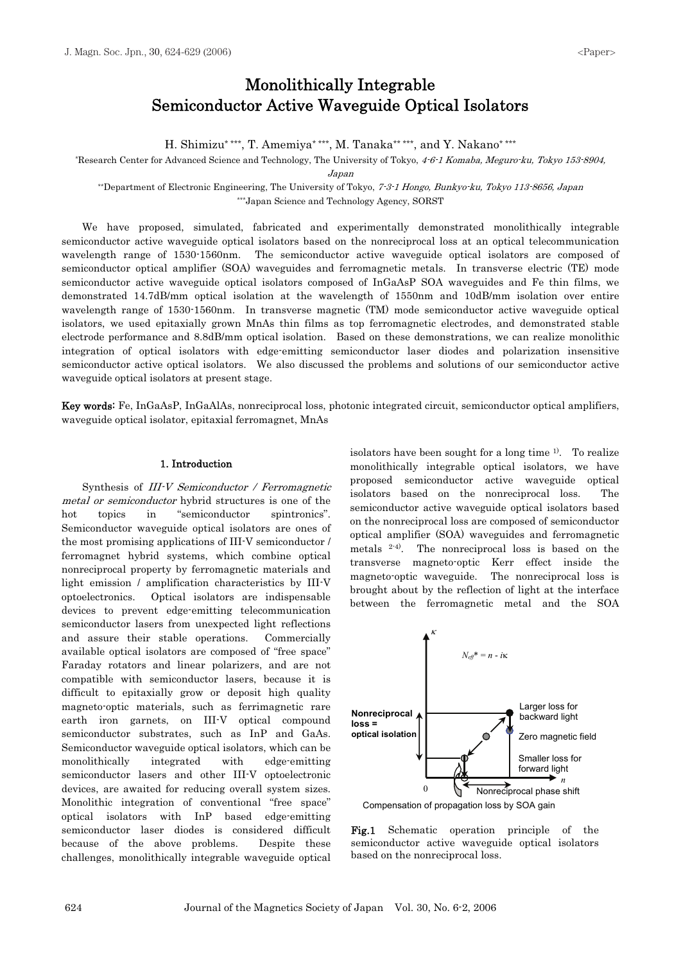# Monolithically Integrable Semiconductor Active Waveguide Optical Isolators

H. Shimizu\* \*\*\*, T. Amemiya\* \*\*\*, M. Tanaka\*\* \*\*\*, and Y. Nakano\* \*\*\*

\*Research Center for Advanced Science and Technology, The University of Tokyo, 4-6-1 Komaba, Meguro-ku, Tokyo 153-8904,

Japan

\*\*Department of Electronic Engineering, The University of Tokyo, 7-3-1 Hongo, Bunkyo-ku, Tokyo 113-8656, Japan \*\*\*Japan Science and Technology Agency, SORST

We have proposed, simulated, fabricated and experimentally demonstrated monolithically integrable semiconductor active waveguide optical isolators based on the nonreciprocal loss at an optical telecommunication wavelength range of 1530-1560nm. The semiconductor active waveguide optical isolators are composed of semiconductor optical amplifier (SOA) waveguides and ferromagnetic metals. In transverse electric (TE) mode semiconductor active waveguide optical isolators composed of InGaAsP SOA waveguides and Fe thin films, we demonstrated 14.7dB/mm optical isolation at the wavelength of 1550nm and 10dB/mm isolation over entire wavelength range of 1530-1560nm. In transverse magnetic (TM) mode semiconductor active waveguide optical isolators, we used epitaxially grown MnAs thin films as top ferromagnetic electrodes, and demonstrated stable electrode performance and 8.8dB/mm optical isolation. Based on these demonstrations, we can realize monolithic integration of optical isolators with edge-emitting semiconductor laser diodes and polarization insensitive semiconductor active optical isolators. We also discussed the problems and solutions of our semiconductor active waveguide optical isolators at present stage.

Key words: Fe, InGaAsP, InGaAlAs, nonreciprocal loss, photonic integrated circuit, semiconductor optical amplifiers, waveguide optical isolator, epitaxial ferromagnet, MnAs

#### 1. Introduction

Synthesis of III-V Semiconductor / Ferromagnetic metal or semiconductor hybrid structures is one of the hot topics in "semiconductor spintronics". Semiconductor waveguide optical isolators are ones of the most promising applications of III-V semiconductor / ferromagnet hybrid systems, which combine optical nonreciprocal property by ferromagnetic materials and light emission / amplification characteristics by III-V optoelectronics. Optical isolators are indispensable devices to prevent edge-emitting telecommunication semiconductor lasers from unexpected light reflections and assure their stable operations. Commercially available optical isolators are composed of "free space" Faraday rotators and linear polarizers, and are not compatible with semiconductor lasers, because it is difficult to epitaxially grow or deposit high quality magneto-optic materials, such as ferrimagnetic rare earth iron garnets, on III-V optical compound semiconductor substrates, such as InP and GaAs. Semiconductor waveguide optical isolators, which can be monolithically integrated with edge-emitting semiconductor lasers and other III-V optoelectronic devices, are awaited for reducing overall system sizes. Monolithic integration of conventional "free space" optical isolators with InP based edge-emitting semiconductor laser diodes is considered difficult because of the above problems. Despite these challenges, monolithically integrable waveguide optical isolators have been sought for a long time 1). To realize monolithically integrable optical isolators, we have proposed semiconductor active waveguide optical isolators based on the nonreciprocal loss. The semiconductor active waveguide optical isolators based on the nonreciprocal loss are composed of semiconductor optical amplifier (SOA) waveguides and ferromagnetic metals 2-4). The nonreciprocal loss is based on the transverse magneto-optic Kerr effect inside the magneto-optic waveguide. The nonreciprocal loss is brought about by the reflection of light at the interface between the ferromagnetic metal and the SOA



Fig.1 Schematic operation principle of the semiconductor active waveguide optical isolators based on the nonreciprocal loss.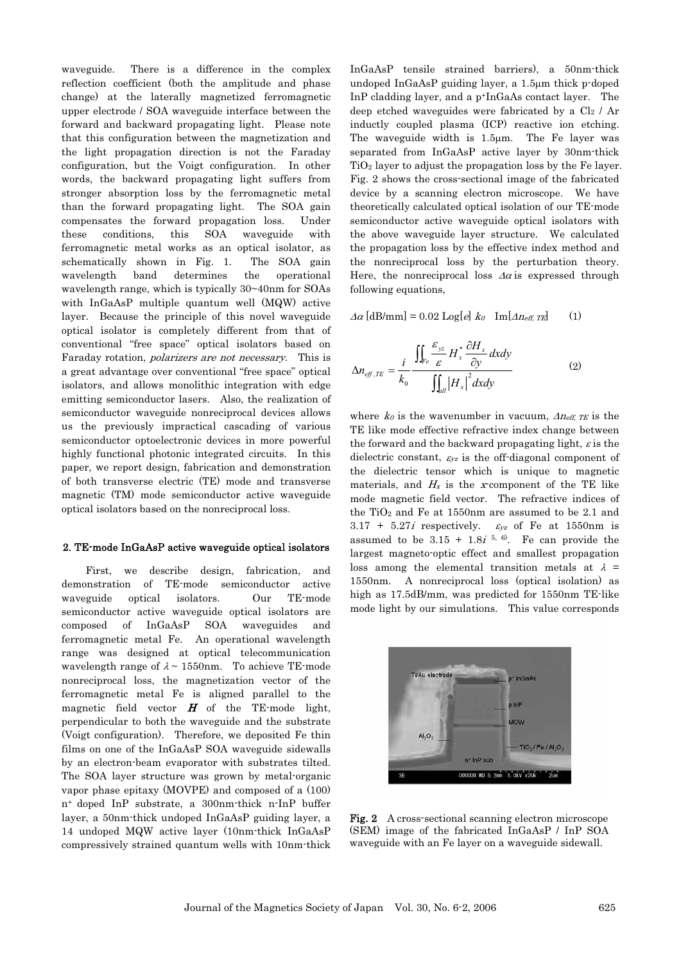waveguide. There is a difference in the complex reflection coefficient (both the amplitude and phase change) at the laterally magnetized ferromagnetic upper electrode / SOA waveguide interface between the forward and backward propagating light. Please note that this configuration between the magnetization and the light propagation direction is not the Faraday configuration, but the Voigt configuration. In other words, the backward propagating light suffers from stronger absorption loss by the ferromagnetic metal than the forward propagating light. The SOA gain compensates the forward propagation loss. Under these conditions, this SOA waveguide with ferromagnetic metal works as an optical isolator, as schematically shown in Fig. 1. The SOA gain wavelength band determines the operational wavelength range, which is typically 30~40nm for SOAs with InGaAsP multiple quantum well (MQW) active layer. Because the principle of this novel waveguide optical isolator is completely different from that of conventional "free space" optical isolators based on Faraday rotation, polarizers are not necessary. This is a great advantage over conventional "free space" optical isolators, and allows monolithic integration with edge emitting semiconductor lasers. Also, the realization of semiconductor waveguide nonreciprocal devices allows us the previously impractical cascading of various semiconductor optoelectronic devices in more powerful highly functional photonic integrated circuits. In this paper, we report design, fabrication and demonstration of both transverse electric (TE) mode and transverse magnetic (TM) mode semiconductor active waveguide optical isolators based on the nonreciprocal loss.

#### 2. TE-mode InGaAsP active waveguide optical isolators

First, we describe design, fabrication, and demonstration of TE-mode semiconductor active waveguide optical isolators. Our TE-mode semiconductor active waveguide optical isolators are composed of InGaAsP SOA waveguides and ferromagnetic metal Fe. An operational wavelength range was designed at optical telecommunication wavelength range of  $\lambda \sim 1550$ nm. To achieve TE-mode nonreciprocal loss, the magnetization vector of the ferromagnetic metal Fe is aligned parallel to the magnetic field vector  $H$  of the TE-mode light, perpendicular to both the waveguide and the substrate (Voigt configuration). Therefore, we deposited Fe thin films on one of the InGaAsP SOA waveguide sidewalls by an electron-beam evaporator with substrates tilted. The SOA layer structure was grown by metal-organic vapor phase epitaxy (MOVPE) and composed of a (100) n+ doped InP substrate, a 300nm-thick n-InP buffer layer, a 50nm-thick undoped InGaAsP guiding layer, a 14 undoped MQW active layer (10nm-thick InGaAsP compressively strained quantum wells with 10nm-thick InGaAsP tensile strained barriers), a 50nm-thick undoped  $InGaAsP$  guiding layer, a 1.5 $\mu$ m thick p-doped InP cladding layer, and a p+InGaAs contact layer. The deep etched waveguides were fabricated by a  $Cl<sub>2</sub>$  / Ar inductly coupled plasma (ICP) reactive ion etching. The waveguide width is 1.5um. The Fe layer was separated from InGaAsP active layer by 30nm-thick TiO2 layer to adjust the propagation loss by the Fe layer. Fig. 2 shows the cross-sectional image of the fabricated device by a scanning electron microscope. We have theoretically calculated optical isolation of our TE-mode semiconductor active waveguide optical isolators with the above waveguide layer structure. We calculated the propagation loss by the effective index method and the nonreciprocal loss by the perturbation theory. Here, the nonreciprocal loss  $\Delta \alpha$  is expressed through following equations,

 $\Delta \alpha$  [dB/mm] = 0.02 Log[e]  $k_0$  Im[ $\Delta n_{eff, TE}$ ] (1)

$$
\Delta n_{\text{eff,TE}} = \frac{i}{k_0} \frac{\iint_{Fe} \frac{\mathcal{E}_{yz}}{\mathcal{E}} H_x^* \frac{\partial H_x}{\partial y} dxdy}{\iint_{all} |H_x|^2 dxdy} \tag{2}
$$

where  $k_0$  is the wavenumber in vacuum,  $\Delta n_{\text{eff}}$ ,  $\tau_E$  is the TE like mode effective refractive index change between the forward and the backward propagating light,  $\varepsilon$  is the dielectric constant,  $\varepsilon_{yz}$  is the off-diagonal component of the dielectric tensor which is unique to magnetic materials, and  $H_x$  is the x-component of the TE like mode magnetic field vector. The refractive indices of the  $TiO<sub>2</sub>$  and Fe at 1550nm are assumed to be 2.1 and  $3.17 + 5.27i$  respectively.  $\varepsilon_{yz}$  of Fe at 1550nm is assumed to be  $3.15 + 1.8i^{5, 6}$ . Fe can provide the largest magneto-optic effect and smallest propagation loss among the elemental transition metals at  $\lambda$  = 1550nm. A nonreciprocal loss (optical isolation) as high as 17.5dB/mm, was predicted for 1550nm TE-like mode light by our simulations. This value corresponds



Fig. 2 A cross-sectional scanning electron microscope (SEM) image of the fabricated InGaAsP / InP SOA waveguide with an Fe layer on a waveguide sidewall.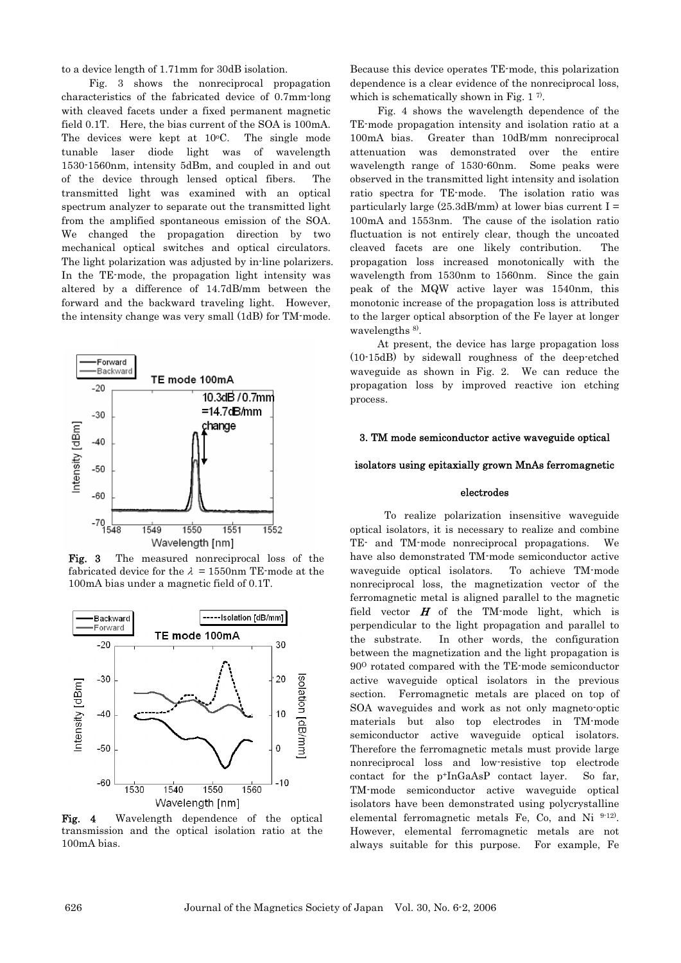to a device length of 1.71mm for 30dB isolation.

Fig. 3 shows the nonreciprocal propagation characteristics of the fabricated device of 0.7mm-long with cleaved facets under a fixed permanent magnetic field 0.1T. Here, the bias current of the SOA is 100mA. The devices were kept at  $10^{\circ}$ C. The single mode tunable laser diode light was of wavelength 1530-1560nm, intensity 5dBm, and coupled in and out of the device through lensed optical fibers. The transmitted light was examined with an optical spectrum analyzer to separate out the transmitted light from the amplified spontaneous emission of the SOA. We changed the propagation direction by two mechanical optical switches and optical circulators. The light polarization was adjusted by in-line polarizers. In the TE-mode, the propagation light intensity was altered by a difference of 14.7dB/mm between the forward and the backward traveling light. However, the intensity change was very small (1dB) for TM-mode.



Fig. 3 The measured nonreciprocal loss of the fabricated device for the  $\lambda = 1550$ nm TE-mode at the 100mA bias under a magnetic field of 0.1T.



Fig. 4 Wavelength dependence of the optical transmission and the optical isolation ratio at the 100mA bias.

Because this device operates TE-mode, this polarization dependence is a clear evidence of the nonreciprocal loss, which is schematically shown in Fig. 1.7.

Fig. 4 shows the wavelength dependence of the TE-mode propagation intensity and isolation ratio at a 100mA bias. Greater than 10dB/mm nonreciprocal attenuation was demonstrated over the entire wavelength range of 1530-60nm. Some peaks were observed in the transmitted light intensity and isolation ratio spectra for TE-mode. The isolation ratio was particularly large  $(25.3d)$ mm) at lower bias current I = 100mA and 1553nm. The cause of the isolation ratio fluctuation is not entirely clear, though the uncoated cleaved facets are one likely contribution. The propagation loss increased monotonically with the wavelength from 1530nm to 1560nm. Since the gain peak of the MQW active layer was 1540nm, this monotonic increase of the propagation loss is attributed to the larger optical absorption of the Fe layer at longer wavelengths <sup>8)</sup>.

At present, the device has large propagation loss (10-15dB) by sidewall roughness of the deep-etched waveguide as shown in Fig. 2. We can reduce the propagation loss by improved reactive ion etching process.

## 3. TM mode semiconductor active waveguide optical

## isolators using epitaxially grown MnAs ferromagnetic

## electrodes

To realize polarization insensitive waveguide optical isolators, it is necessary to realize and combine TE- and TM-mode nonreciprocal propagations. We have also demonstrated TM-mode semiconductor active waveguide optical isolators. To achieve TM-mode nonreciprocal loss, the magnetization vector of the ferromagnetic metal is aligned parallel to the magnetic field vector  $H$  of the TM-mode light, which is perpendicular to the light propagation and parallel to the substrate. In other words, the configuration between the magnetization and the light propagation is 90O rotated compared with the TE-mode semiconductor active waveguide optical isolators in the previous section. Ferromagnetic metals are placed on top of SOA waveguides and work as not only magneto-optic materials but also top electrodes in TM-mode semiconductor active waveguide optical isolators. Therefore the ferromagnetic metals must provide large nonreciprocal loss and low-resistive top electrode contact for the p+InGaAsP contact layer. So far, TM-mode semiconductor active waveguide optical isolators have been demonstrated using polycrystalline elemental ferromagnetic metals Fe, Co, and Ni 9-12). However, elemental ferromagnetic metals are not always suitable for this purpose. For example, Fe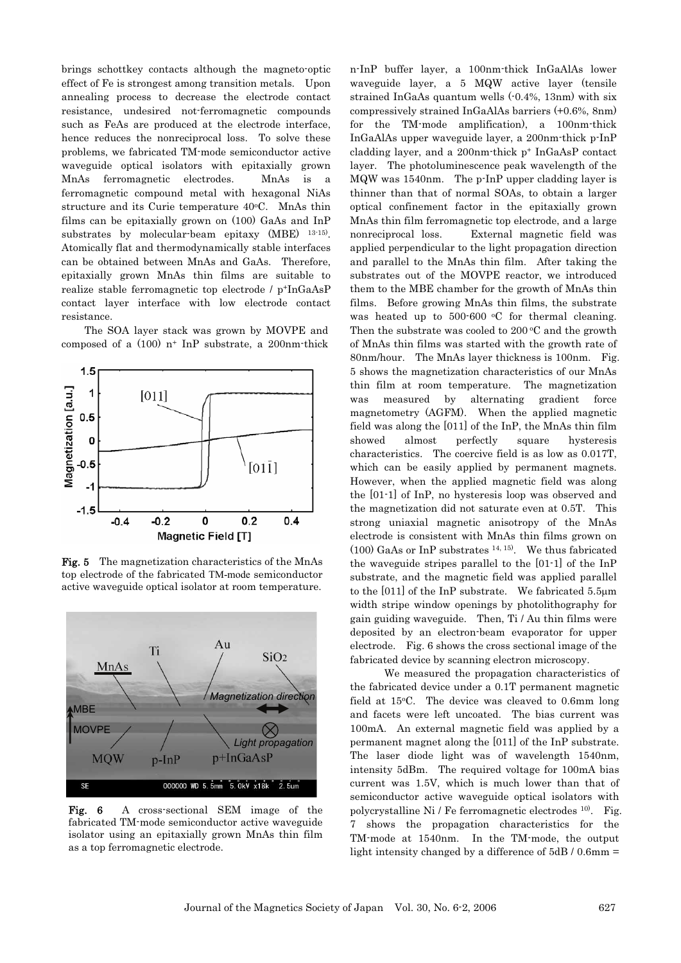brings schottkey contacts although the magneto-optic effect of Fe is strongest among transition metals. Upon annealing process to decrease the electrode contact resistance, undesired not-ferromagnetic compounds such as FeAs are produced at the electrode interface, hence reduces the nonreciprocal loss. To solve these problems, we fabricated TM-mode semiconductor active waveguide optical isolators with epitaxially grown MnAs ferromagnetic electrodes. MnAs is a ferromagnetic compound metal with hexagonal NiAs structure and its Curie temperature 40°C. MnAs thin films can be epitaxially grown on (100) GaAs and InP substrates by molecular-beam epitaxy (MBE) 13-15). Atomically flat and thermodynamically stable interfaces can be obtained between MnAs and GaAs. Therefore, epitaxially grown MnAs thin films are suitable to realize stable ferromagnetic top electrode / p+InGaAsP contact layer interface with low electrode contact resistance.

The SOA layer stack was grown by MOVPE and composed of a  $(100)$  n<sup>+</sup> InP substrate, a 200nm-thick



Fig. 5 The magnetization characteristics of the MnAs top electrode of the fabricated TM-mode semiconductor active waveguide optical isolator at room temperature.



Fig. 6 A cross-sectional SEM image of the fabricated TM-mode semiconductor active waveguide isolator using an epitaxially grown MnAs thin film as a top ferromagnetic electrode.

n-InP buffer layer, a 100nm-thick InGaAlAs lower waveguide layer, a 5 MQW active layer (tensile strained InGaAs quantum wells (-0.4%, 13nm) with six compressively strained InGaAlAs barriers (+0.6%, 8nm) for the TM-mode amplification), a 100nm-thick InGaAlAs upper waveguide layer, a 200nm-thick p-InP cladding layer, and a 200nm-thick p+ InGaAsP contact layer. The photoluminescence peak wavelength of the MQW was 1540nm. The p-InP upper cladding layer is thinner than that of normal SOAs, to obtain a larger optical confinement factor in the epitaxially grown MnAs thin film ferromagnetic top electrode, and a large nonreciprocal loss. External magnetic field was applied perpendicular to the light propagation direction and parallel to the MnAs thin film. After taking the substrates out of the MOVPE reactor, we introduced them to the MBE chamber for the growth of MnAs thin films. Before growing MnAs thin films, the substrate was heated up to  $500-600$  °C for thermal cleaning. Then the substrate was cooled to  $200\degree C$  and the growth of MnAs thin films was started with the growth rate of 80nm/hour. The MnAs layer thickness is 100nm. Fig. 5 shows the magnetization characteristics of our MnAs thin film at room temperature. The magnetization was measured by alternating gradient force magnetometry (AGFM). When the applied magnetic field was along the [011] of the InP, the MnAs thin film showed almost perfectly square hysteresis characteristics. The coercive field is as low as 0.017T, which can be easily applied by permanent magnets. However, when the applied magnetic field was along the [01-1] of InP, no hysteresis loop was observed and the magnetization did not saturate even at 0.5T. This strong uniaxial magnetic anisotropy of the MnAs electrode is consistent with MnAs thin films grown on (100) GaAs or InP substrates  $14, 15$ . We thus fabricated the waveguide stripes parallel to the [01-1] of the InP substrate, and the magnetic field was applied parallel to the  $[011]$  of the InP substrate. We fabricated 5.5 $\mu$ m width stripe window openings by photolithography for gain guiding waveguide. Then, Ti / Au thin films were deposited by an electron-beam evaporator for upper electrode. Fig. 6 shows the cross sectional image of the fabricated device by scanning electron microscopy.

We measured the propagation characteristics of the fabricated device under a 0.1T permanent magnetic field at  $15^{\circ}$ C. The device was cleaved to 0.6mm long and facets were left uncoated. The bias current was 100mA. An external magnetic field was applied by a permanent magnet along the [011] of the InP substrate. The laser diode light was of wavelength 1540nm, intensity 5dBm. The required voltage for 100mA bias current was 1.5V, which is much lower than that of semiconductor active waveguide optical isolators with polycrystalline Ni / Fe ferromagnetic electrodes 10). Fig. 7 shows the propagation characteristics for the TM-mode at 1540nm. In the TM-mode, the output light intensity changed by a difference of 5dB / 0.6mm =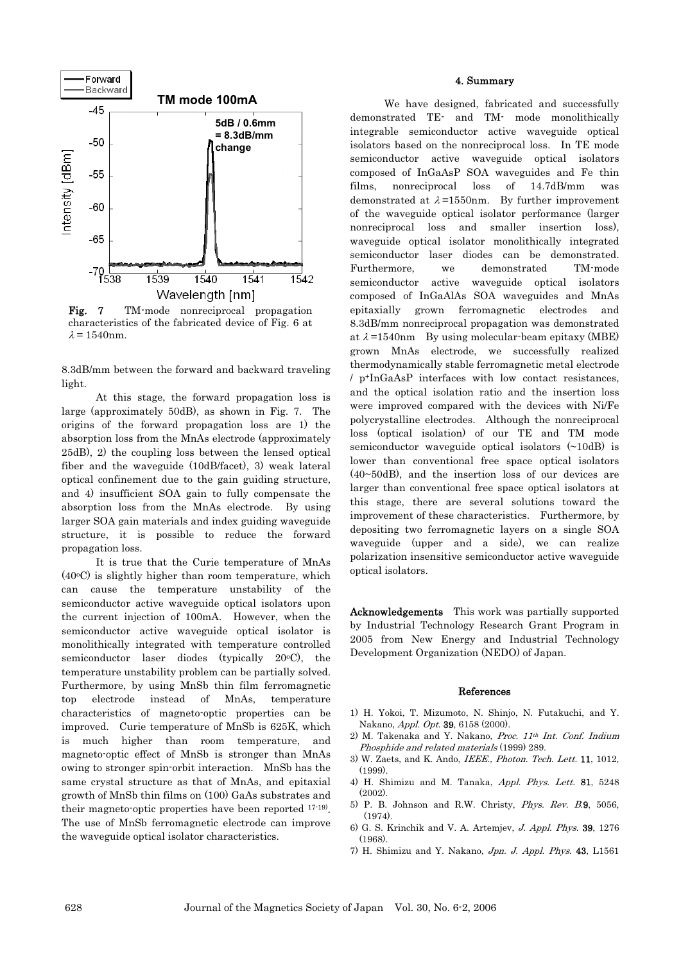

Fig. 7 TM-mode nonreciprocal propagation characteristics of the fabricated device of Fig. 6 at  $\lambda = 1540$ nm.

8.3dB/mm between the forward and backward traveling light.

At this stage, the forward propagation loss is large (approximately 50dB), as shown in Fig. 7. The origins of the forward propagation loss are 1) the absorption loss from the MnAs electrode (approximately 25dB), 2) the coupling loss between the lensed optical fiber and the waveguide (10dB/facet), 3) weak lateral optical confinement due to the gain guiding structure, and 4) insufficient SOA gain to fully compensate the absorption loss from the MnAs electrode. By using larger SOA gain materials and index guiding waveguide structure, it is possible to reduce the forward propagation loss.

It is true that the Curie temperature of MnAs  $(40°C)$  is slightly higher than room temperature, which can cause the temperature unstability of the semiconductor active waveguide optical isolators upon the current injection of 100mA. However, when the semiconductor active waveguide optical isolator is monolithically integrated with temperature controlled semiconductor laser diodes (typically  $20^{\circ}$ C), the temperature unstability problem can be partially solved. Furthermore, by using MnSb thin film ferromagnetic top electrode instead of MnAs, temperature characteristics of magneto-optic properties can be improved. Curie temperature of MnSb is 625K, which is much higher than room temperature, and magneto-optic effect of MnSb is stronger than MnAs owing to stronger spin-orbit interaction. MnSb has the same crystal structure as that of MnAs, and epitaxial growth of MnSb thin films on (100) GaAs substrates and their magneto-optic properties have been reported 17-19). The use of MnSb ferromagnetic electrode can improve the waveguide optical isolator characteristics.

# 4. Summary

We have designed, fabricated and successfully demonstrated TE- and TM- mode monolithically integrable semiconductor active waveguide optical isolators based on the nonreciprocal loss. In TE mode semiconductor active waveguide optical isolators composed of InGaAsP SOA waveguides and Fe thin films, nonreciprocal loss of 14.7dB/mm was demonstrated at  $\lambda$ =1550nm. By further improvement of the waveguide optical isolator performance (larger nonreciprocal loss and smaller insertion loss), waveguide optical isolator monolithically integrated semiconductor laser diodes can be demonstrated. Furthermore, we demonstrated TM-mode semiconductor active waveguide optical isolators composed of InGaAlAs SOA waveguides and MnAs epitaxially grown ferromagnetic electrodes and 8.3dB/mm nonreciprocal propagation was demonstrated at  $\lambda$ =1540nm By using molecular-beam epitaxy (MBE) grown MnAs electrode, we successfully realized thermodynamically stable ferromagnetic metal electrode / p+InGaAsP interfaces with low contact resistances, and the optical isolation ratio and the insertion loss were improved compared with the devices with Ni/Fe polycrystalline electrodes. Although the nonreciprocal loss (optical isolation) of our TE and TM mode semiconductor waveguide optical isolators (~10dB) is lower than conventional free space optical isolators (40~50dB), and the insertion loss of our devices are larger than conventional free space optical isolators at this stage, there are several solutions toward the improvement of these characteristics. Furthermore, by depositing two ferromagnetic layers on a single SOA waveguide (upper and a side), we can realize polarization insensitive semiconductor active waveguide optical isolators.

Acknowledgements This work was partially supported by Industrial Technology Research Grant Program in 2005 from New Energy and Industrial Technology Development Organization (NEDO) of Japan.

#### References

- 1) H. Yokoi, T. Mizumoto, N. Shinjo, N. Futakuchi, and Y. Nakano, Appl. Opt. 39, 6158 (2000).
- 2) M. Takenaka and Y. Nakano, Proc.  $11<sup>th</sup> Int.$  Conf. Indium Phosphide and related materials (1999) 289.
- 3) W. Zaets, and K. Ando, IEEE., Photon. Tech. Lett. 11, 1012, (1999).
- 4) H. Shimizu and M. Tanaka, Appl. Phys. Lett. 81, 5248 (2002).
- 5) P. B. Johnson and R.W. Christy, Phys. Rev. B.9, 5056,  $(1974)$ .
- 6) G. S. Krinchik and V. A. Artemjev, J. Appl. Phys. 39, 1276  $(1968)$
- 7) H. Shimizu and Y. Nakano, Jpn. J. Appl. Phys. 43, L1561